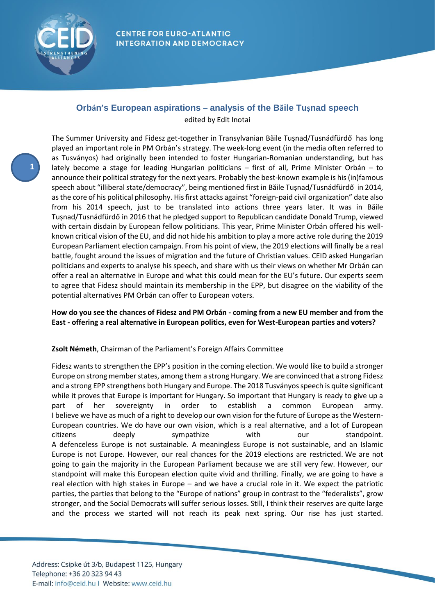

# **Orbán's European aspirations – analysis of the Băile Tușnad speech**

edited by Edit Inotai

**1**

The Summer University and Fidesz get-together in Transylvanian Băile Tușnad/Tusnádfürdő has long played an important role in PM Orbán's strategy. The week-long event (in the media often referred to as Tusványos) had originally been intended to foster Hungarian-Romanian understanding, but has lately become a stage for leading Hungarian politicians – first of all, Prime Minister Orbán – to announce their political strategy for the next years. Probably the best-known example is his (in)famous speech about "illiberal state/democracy", being mentioned first in Băile Tușnad/Tusnádfürdő in 2014, as the core of his political philosophy. His first attacks against "foreign-paid civil organization" date also from his 2014 speech, just to be translated into actions three years later. It was in Băile Tușnad/Tusnádfürdő in 2016 that he pledged support to Republican candidate Donald Trump, viewed with certain disdain by European fellow politicians. This year, Prime Minister Orbán offered his wellknown critical vision of the EU, and did not hide his ambition to play a more active role during the 2019 European Parliament election campaign. From his point of view, the 2019 elections will finally be a real battle, fought around the issues of migration and the future of Christian values. CEID asked Hungarian politicians and experts to analyse his speech, and share with us their views on whether Mr Orbán can offer a real an alternative in Europe and what this could mean for the EU's future. Our experts seem to agree that Fidesz should maintain its membership in the EPP, but disagree on the viability of the potential alternatives PM Orbán can offer to European voters.

# **How do you see the chances of Fidesz and PM Orbán - coming from a new EU member and from the East - offering a real alternative in European politics, even for West-European parties and voters?**

# **Zsolt Németh**, Chairman of the Parliament's Foreign Affairs Committee

Fidesz wants to strengthen the EPP's position in the coming election. We would like to build a stronger Europe on strong member states, among them a strong Hungary. We are convinced that a strong Fidesz and a strong EPP strengthens both Hungary and Europe. The 2018 Tusványos speech is quite significant while it proves that Europe is important for Hungary. So important that Hungary is ready to give up a part of her sovereignty in order to establish a common European army. I believe we have as much of a right to develop our own vision for the future of Europe as the Western-European countries. We do have our own vision, which is a real alternative, and a lot of European citizens deeply sympathize with our standpoint. A defenceless Europe is not sustainable. A meaningless Europe is not sustainable, and an Islamic Europe is not Europe. However, our real chances for the 2019 elections are restricted. We are not going to gain the majority in the European Parliament because we are still very few. However, our standpoint will make this European election quite vivid and thrilling. Finally, we are going to have a real election with high stakes in Europe – and we have a crucial role in it. We expect the patriotic parties, the parties that belong to the "Europe of nations" group in contrast to the "federalists", grow stronger, and the Social Democrats will suffer serious losses. Still, I think their reserves are quite large and the process we started will not reach its peak next spring. Our rise has just started.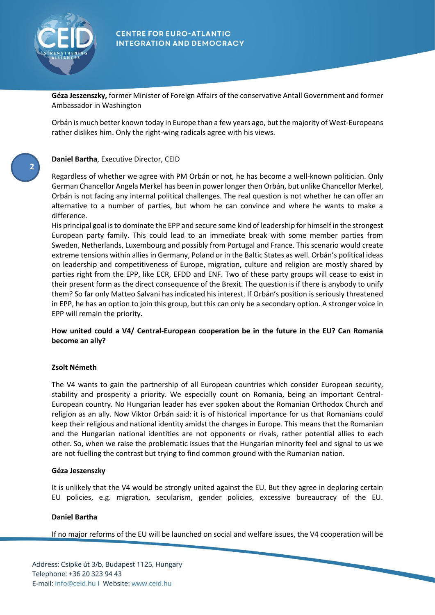

**2**

## **CENTRE FOR EURO-ATLANTIC INTEGRATION AND DEMOCRACY**

**Géza Jeszenszky,** former Minister of Foreign Affairs of the conservative Antall Government and former Ambassador in Washington

Orbán is much better known today in Europe than a few years ago, but the majority of West-Europeans rather dislikes him. Only the right-wing radicals agree with his views.

## **Daniel Bartha**, Executive Director, CEID

Regardless of whether we agree with PM Orbán or not, he has become a well-known politician. Only German Chancellor Angela Merkel has been in power longer then Orbán, but unlike Chancellor Merkel, Orbán is not facing any internal political challenges. The real question is not whether he can offer an alternative to a number of parties, but whom he can convince and where he wants to make a difference.

His principal goal is to dominate the EPP and secure some kind of leadership for himself in the strongest European party family. This could lead to an immediate break with some member parties from Sweden, Netherlands, Luxembourg and possibly from Portugal and France. This scenario would create extreme tensions within allies in Germany, Poland or in the Baltic States as well. Orbán's political ideas on leadership and competitiveness of Europe, migration, culture and religion are mostly shared by parties right from the EPP, like ECR, EFDD and ENF. Two of these party groups will cease to exist in their present form as the direct consequence of the Brexit. The question is if there is anybody to unify them? So far only Matteo Salvani has indicated his interest. If Orbán's position is seriously threatened in EPP, he has an option to join this group, but this can only be a secondary option. A stronger voice in EPP will remain the priority.

# **How united could a V4/ Central-European cooperation be in the future in the EU? Can Romania become an ally?**

## **Zsolt Németh**

The V4 wants to gain the partnership of all European countries which consider European security, stability and prosperity a priority. We especially count on Romania, being an important Central-European country. No Hungarian leader has ever spoken about the Romanian Orthodox Church and religion as an ally. Now Viktor Orbán said: it is of historical importance for us that Romanians could keep their religious and national identity amidst the changes in Europe. This means that the Romanian and the Hungarian national identities are not opponents or rivals, rather potential allies to each other. So, when we raise the problematic issues that the Hungarian minority feel and signal to us we are not fuelling the contrast but trying to find common ground with the Rumanian nation.

## **Géza Jeszenszky**

It is unlikely that the V4 would be strongly united against the EU. But they agree in deploring certain EU policies, e.g. migration, secularism, gender policies, excessive bureaucracy of the EU.

## **Daniel Bartha**

If no major reforms of the EU will be launched on social and welfare issues, the V4 cooperation will be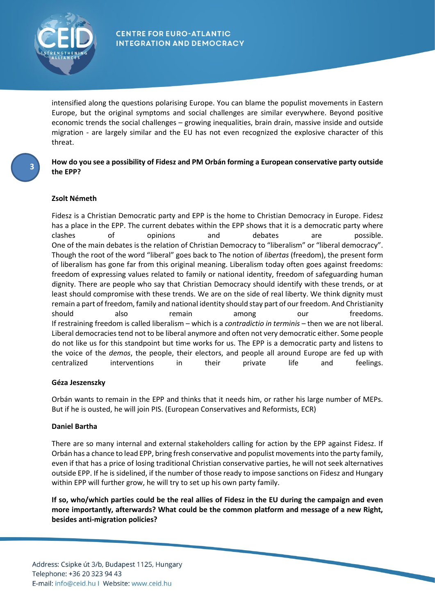

intensified along the questions polarising Europe. You can blame the populist movements in Eastern Europe, but the original symptoms and social challenges are similar everywhere. Beyond positive economic trends the social challenges – growing inequalities, brain drain, massive inside and outside migration - are largely similar and the EU has not even recognized the explosive character of this threat.

## **How do you see a possibility of Fidesz and PM Orbán forming a European conservative party outside the EPP?**

# **Zsolt Németh**

**3**

Fidesz is a Christian Democratic party and EPP is the home to Christian Democracy in Europe. Fidesz has a place in the EPP. The current debates within the EPP shows that it is a democratic party where clashes of opinions and debates are possible. One of the main debates is the relation of Christian Democracy to "liberalism" or "liberal democracy". Though the root of the word "liberal" goes back to The notion of *libertas* (freedom), the present form of liberalism has gone far from this original meaning. Liberalism today often goes against freedoms: freedom of expressing values related to family or national identity, freedom of safeguarding human dignity. There are people who say that Christian Democracy should identify with these trends, or at least should compromise with these trends. We are on the side of real liberty. We think dignity must remain a part of freedom, family and national identity should stay part of our freedom. And Christianity should also remain among our freedoms. If restraining freedom is called liberalism – which is a *contradictio in terminis* – then we are not liberal. Liberal democracies tend not to be liberal anymore and often not very democratic either. Some people do not like us for this standpoint but time works for us. The EPP is a democratic party and listens to the voice of the *demos*, the people, their electors, and people all around Europe are fed up with centralized interventions in their private life and feelings.

## **Géza Jeszenszky**

Orbán wants to remain in the EPP and thinks that it needs him, or rather his large number of MEPs. But if he is ousted, he will join PIS. (European Conservatives and Reformists, ECR)

## **Daniel Bartha**

There are so many internal and external stakeholders calling for action by the EPP against Fidesz. If Orbán has a chance to lead EPP, bring fresh conservative and populist movements into the party family, even if that has a price of losing traditional Christian conservative parties, he will not seek alternatives outside EPP. If he is sidelined, if the number of those ready to impose sanctions on Fidesz and Hungary within EPP will further grow, he will try to set up his own party family.

**If so, who/which parties could be the real allies of Fidesz in the EU during the campaign and even more importantly, afterwards? What could be the common platform and message of a new Right, besides anti-migration policies?**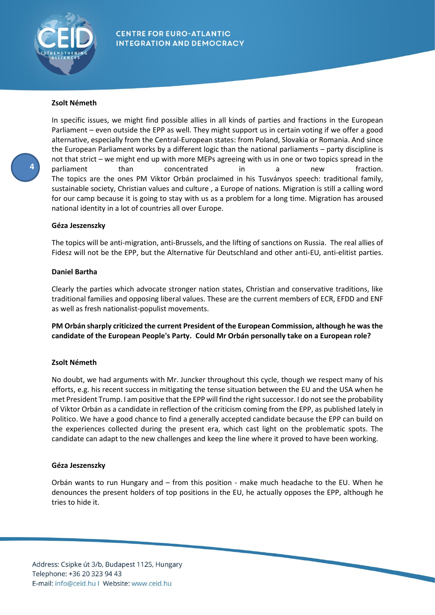

## **Zsolt Németh**

In specific issues, we might find possible allies in all kinds of parties and fractions in the European Parliament – even outside the EPP as well. They might support us in certain voting if we offer a good alternative, especially from the Central-European states: from Poland, Slovakia or Romania. And since the European Parliament works by a different logic than the national parliaments – party discipline is not that strict – we might end up with more MEPs agreeing with us in one or two topics spread in the parliament than concentrated in a new fraction. The topics are the ones PM Viktor Orbán proclaimed in his Tusványos speech: traditional family, sustainable society, Christian values and culture , a Europe of nations. Migration is still a calling word for our camp because it is going to stay with us as a problem for a long time. Migration has aroused national identity in a lot of countries all over Europe.

## **Géza Jeszenszky**

The topics will be anti-migration, anti-Brussels, and the lifting of sanctions on Russia. The real allies of Fidesz will not be the EPP, but the Alternative für Deutschland and other anti-EU, anti-elitist parties.

## **Daniel Bartha**

Clearly the parties which advocate stronger nation states, Christian and conservative traditions, like traditional families and opposing liberal values. These are the current members of ECR, EFDD and ENF as well as fresh nationalist-populist movements.

**PM Orbán sharply criticized the current President of the European Commission, although he was the candidate of the European People's Party. Could Mr Orbán personally take on a European role?**

## **Zsolt Németh**

No doubt, we had arguments with Mr. Juncker throughout this cycle, though we respect many of his efforts, e.g. his recent success in mitigating the tense situation between the EU and the USA when he met President Trump. I am positive that the EPP will find the right successor. I do not see the probability of Viktor Orbán as a candidate in reflection of the criticism coming from the EPP, as published lately in Politico. We have a good chance to find a generally accepted candidate because the EPP can build on the experiences collected during the present era, which cast light on the problematic spots. The candidate can adapt to the new challenges and keep the line where it proved to have been working.

## **Géza Jeszenszky**

Orbán wants to run Hungary and – from this position - make much headache to the EU. When he denounces the present holders of top positions in the EU, he actually opposes the EPP, although he tries to hide it.

E-mail: info@ceid.hu | Website: www.ceid.hu